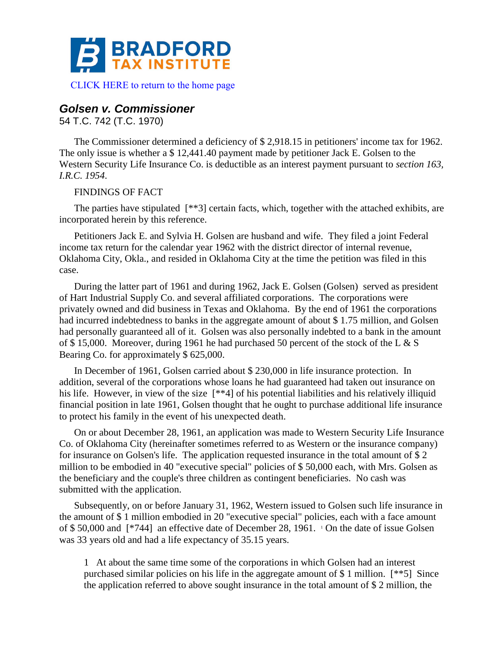

[CLICK HERE to return to the home page](http://bradfordtaxinstitute.com/index1.aspx) 

# *Golsen v. Commissioner*

54 T.C. 742 (T.C. 1970)

The Commissioner determined a deficiency of \$ 2,918.15 in petitioners' income tax for 1962. The only issue is whether a \$ 12,441.40 payment made by petitioner Jack E. Golsen to the Western Security Life Insurance Co. is deductible as an interest payment pursuant to *section 163, I.R.C. 1954*.

# FINDINGS OF FACT

The parties have stipulated [\*\*3] certain facts, which, together with the attached exhibits, are incorporated herein by this reference.

Petitioners Jack E. and Sylvia H. Golsen are husband and wife. They filed a joint Federal income tax return for the calendar year 1962 with the district director of internal revenue, Oklahoma City, Okla., and resided in Oklahoma City at the time the petition was filed in this case.

During the latter part of 1961 and during 1962, Jack E. Golsen (Golsen) served as president of Hart Industrial Supply Co. and several affiliated corporations. The corporations were privately owned and did business in Texas and Oklahoma. By the end of 1961 the corporations had incurred indebtedness to banks in the aggregate amount of about \$1.75 million, and Golsen had personally guaranteed all of it. Golsen was also personally indebted to a bank in the amount of \$ 15,000. Moreover, during 1961 he had purchased 50 percent of the stock of the L & S Bearing Co. for approximately \$ 625,000.

In December of 1961, Golsen carried about \$ 230,000 in life insurance protection. In addition, several of the corporations whose loans he had guaranteed had taken out insurance on his life. However, in view of the size [\*\*4] of his potential liabilities and his relatively illiquid financial position in late 1961, Golsen thought that he ought to purchase additional life insurance to protect his family in the event of his unexpected death.

On or about December 28, 1961, an application was made to Western Security Life Insurance Co. of Oklahoma City (hereinafter sometimes referred to as Western or the insurance company) for insurance on Golsen's life. The application requested insurance in the total amount of \$ 2 million to be embodied in 40 "executive special" policies of \$ 50,000 each, with Mrs. Golsen as the beneficiary and the couple's three children as contingent beneficiaries. No cash was submitted with the application.

Subsequently, on or before January 31, 1962, Western issued to Golsen such life insurance in the amount of \$ 1 million embodied in 20 "executive special" policies, each with a face amount of \$50,000 and [\*744] an effective date of December 28, 1961. <sup>1</sup> On the date of issue Golsen was 33 years old and had a life expectancy of 35.15 years.

1 At about the same time some of the corporations in which Golsen had an interest purchased similar policies on his life in the aggregate amount of \$ 1 million. [\*\*5] Since the application referred to above sought insurance in the total amount of \$ 2 million, the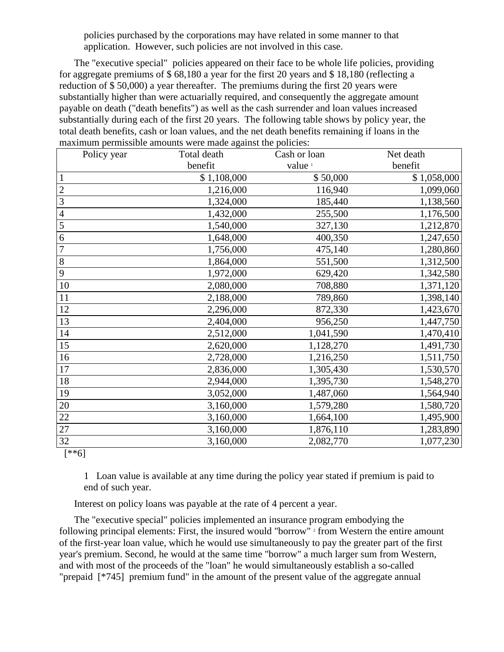policies purchased by the corporations may have related in some manner to that application. However, such policies are not involved in this case.

The "executive special" policies appeared on their face to be whole life policies, providing for aggregate premiums of \$ 68,180 a year for the first 20 years and \$ 18,180 (reflecting a reduction of \$ 50,000) a year thereafter. The premiums during the first 20 years were substantially higher than were actuarially required, and consequently the aggregate amount payable on death ("death benefits") as well as the cash surrender and loan values increased substantially during each of the first 20 years. The following table shows by policy year, the total death benefits, cash or loan values, and the net death benefits remaining if loans in the maximum permissible amounts were made against the policies:

|                 | Policy year | Total death | Cash or loan       | Net death   |
|-----------------|-------------|-------------|--------------------|-------------|
|                 |             | benefit     | value <sup>1</sup> | benefit     |
| $\mathbf{1}$    |             | \$1,108,000 | \$50,000           | \$1,058,000 |
| $\overline{c}$  |             | 1,216,000   | 116,940            | 1,099,060   |
| $\overline{3}$  |             | 1,324,000   | 185,440            | 1,138,560   |
| $\overline{4}$  |             | 1,432,000   | 255,500            | 1,176,500   |
| $\overline{5}$  |             | 1,540,000   | 327,130            | 1,212,870   |
| $\overline{6}$  |             | 1,648,000   | 400,350            | 1,247,650   |
| $\overline{7}$  |             | 1,756,000   | 475,140            | 1,280,860   |
| 8               |             | 1,864,000   | 551,500            | 1,312,500   |
| 9               |             | 1,972,000   | 629,420            | 1,342,580   |
| 10              |             | 2,080,000   | 708,880            | 1,371,120   |
| $11\,$          |             | 2,188,000   | 789,860            | 1,398,140   |
| 12              |             | 2,296,000   | 872,330            | 1,423,670   |
| 13              |             | 2,404,000   | 956,250            | 1,447,750   |
| 14              |             | 2,512,000   | 1,041,590          | 1,470,410   |
| 15              |             | 2,620,000   | 1,128,270          | 1,491,730   |
| 16              |             | 2,728,000   | 1,216,250          | 1,511,750   |
| 17              |             | 2,836,000   | 1,305,430          | 1,530,570   |
| 18              |             | 2,944,000   | 1,395,730          | 1,548,270   |
| 19              |             | 3,052,000   | 1,487,060          | 1,564,940   |
| 20              |             | 3,160,000   | 1,579,280          | 1,580,720   |
| $\overline{22}$ |             | 3,160,000   | 1,664,100          | 1,495,900   |
| 27              |             | 3,160,000   | 1,876,110          | 1,283,890   |
| 32              |             | 3,160,000   | 2,082,770          | 1,077,230   |

[\*\*6]

1 Loan value is available at any time during the policy year stated if premium is paid to end of such year.

Interest on policy loans was payable at the rate of 4 percent a year.

The "executive special" policies implemented an insurance program embodying the following principal elements: First, the insured would "borrow" <sup>2</sup> from Western the entire amount of the first-year loan value, which he would use simultaneously to pay the greater part of the first year's premium. Second, he would at the same time "borrow" a much larger sum from Western, and with most of the proceeds of the "loan" he would simultaneously establish a so-called "prepaid [\*745] premium fund" in the amount of the present value of the aggregate annual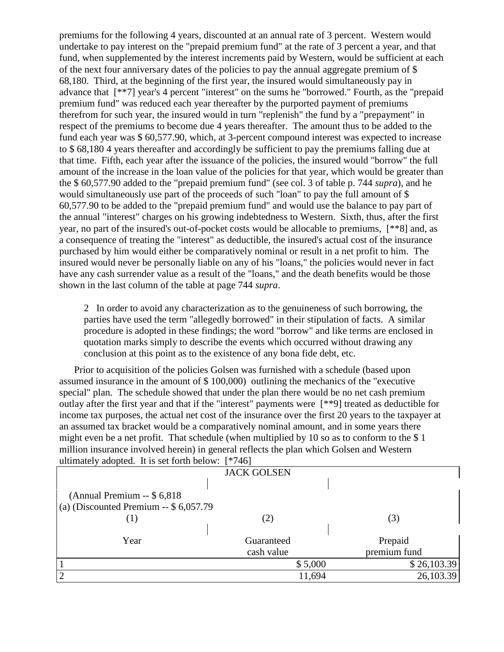premiums for the following 4 years, discounted at an annual rate of 3 percent. Western would undertake to pay interest on the "prepaid premium fund" at the rate of 3 percent a year, and that fund, when supplemented by the interest increments paid by Western, would be sufficient at each of the next four anniversary dates of the policies to pay the annual aggregate premium of \$ 68,180. Third, at the beginning of the first year, the insured would simultaneously pay in advance that [\*\*7] year's 4 percent "interest" on the sums he "borrowed." Fourth, as the "prepaid premium fund" was reduced each year thereafter by the purported payment of premiums therefrom for such year, the insured would in turn "replenish" the fund by a "prepayment" in respect of the premiums to become due 4 years thereafter. The amount thus to be added to the fund each year was \$ 60,577.90, which, at 3-percent compound interest was expected to increase to \$ 68,180 4 years thereafter and accordingly be sufficient to pay the premiums falling due at that time. Fifth, each year after the issuance of the policies, the insured would "borrow" the full amount of the increase in the loan value of the policies for that year, which would be greater than the \$ 60,577.90 added to the "prepaid premium fund" (see col. 3 of table p. 744 *supra*), and he would simultaneously use part of the proceeds of such "loan" to pay the full amount of \$ 60,577.90 to be added to the "prepaid premium fund" and would use the balance to pay part of the annual "interest" charges on his growing indebtedness to Western. Sixth, thus, after the first year, no part of the insured's out-of-pocket costs would be allocable to premiums, [\*\*8] and, as a consequence of treating the "interest" as deductible, the insured's actual cost of the insurance purchased by him would either be comparatively nominal or result in a net profit to him. The insured would never be personally liable on any of his "loans," the policies would never in fact have any cash surrender value as a result of the "loans," and the death benefits would be those shown in the last column of the table at page 744 *supra*.

2 In order to avoid any characterization as to the genuineness of such borrowing, the parties have used the term "allegedly borrowed" in their stipulation of facts. A similar procedure is adopted in these findings; the word "borrow" and like terms are enclosed in quotation marks simply to describe the events which occurred without drawing any conclusion at this point as to the existence of any bona fide debt, etc.

Prior to acquisition of the policies Golsen was furnished with a schedule (based upon assumed insurance in the amount of \$ 100,000) outlining the mechanics of the "executive special" plan. The schedule showed that under the plan there would be no net cash premium outlay after the first year and that if the "interest" payments were [\*\*9] treated as deductible for income tax purposes, the actual net cost of the insurance over the first 20 years to the taxpayer at an assumed tax bracket would be a comparatively nominal amount, and in some years there might even be a net profit. That schedule (when multiplied by 10 so as to conform to the \$ 1 million insurance involved herein) in general reflects the plan which Golsen and Western ultimately adopted. It is set forth below: [\*746]

| $\mu$ . The set form below.            | $1 + U$            |              |
|----------------------------------------|--------------------|--------------|
|                                        | <b>JACK GOLSEN</b> |              |
|                                        |                    |              |
| (Annual Premium $-$ \$ 6,818           |                    |              |
| (a) (Discounted Premium -- $$6,057.79$ |                    |              |
| (1)                                    | (2)                | (3)          |
|                                        |                    |              |
| Year                                   | Guaranteed         | Prepaid      |
|                                        | cash value         | premium fund |
|                                        | \$5,000            | \$26,103.39  |
| $\overline{2}$                         | 11,694             | 26,103.39    |
|                                        |                    |              |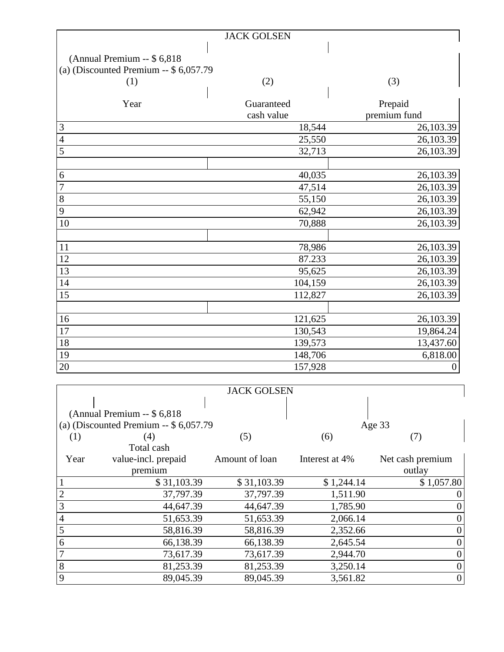|                                         | <b>JACK GOLSEN</b> |                  |
|-----------------------------------------|--------------------|------------------|
|                                         |                    |                  |
| (Annual Premium -- \$ 6,818)            |                    |                  |
| (a) (Discounted Premium $-$ \$ 6,057.79 |                    |                  |
| (1)                                     | (2)                | (3)              |
|                                         |                    |                  |
| Year                                    | Guaranteed         | Prepaid          |
|                                         | cash value         | premium fund     |
| 3                                       | 18,544             | 26,103.39        |
| $\overline{4}$                          | 25,550             | 26,103.39        |
| 5                                       | 32,713             | 26,103.39        |
|                                         |                    |                  |
| 6                                       | 40,035             | 26,103.39        |
| $\overline{7}$                          | 47,514             | 26,103.39        |
| 8                                       | 55,150             | 26,103.39        |
| 9                                       | 62,942             | 26,103.39        |
| 10                                      | 70,888             | 26,103.39        |
|                                         |                    |                  |
| 11                                      | 78,986             | 26,103.39        |
| 12                                      | 87.233             | 26,103.39        |
| 13                                      | 95,625             | 26,103.39        |
| 14                                      | 104,159            | 26,103.39        |
| 15                                      | 112,827            | 26,103.39        |
|                                         |                    |                  |
| 16                                      | 121,625            | 26,103.39        |
| 17                                      | 130,543            | 19,864.24        |
| 18                                      | 139,573            | 13,437.60        |
| 19                                      | 148,706            | 6,818.00         |
| $20\,$                                  | 157,928            | $\boldsymbol{0}$ |

|                |                                         | <b>JACK GOLSEN</b> |                |                  |
|----------------|-----------------------------------------|--------------------|----------------|------------------|
|                |                                         |                    |                |                  |
|                | (Annual Premium $-$ \$ 6,818)           |                    |                |                  |
|                | (a) (Discounted Premium $-$ \$ 6,057.79 |                    |                | Age 33           |
| (1)            | (4)                                     | (5)                | (6)            | (7)              |
|                | Total cash                              |                    |                |                  |
| Year           | value-incl. prepaid                     | Amount of loan     | Interest at 4% | Net cash premium |
|                | premium                                 |                    |                | outlay           |
|                | \$31,103.39                             | \$31,103.39        | \$1,244.14     | \$1,057.80       |
| $\overline{2}$ | 37,797.39                               | 37,797.39          | 1,511.90       |                  |
| 3              | 44,647.39                               | 44,647.39          | 1,785.90       |                  |
| $\overline{4}$ | 51,653.39                               | 51,653.39          | 2,066.14       |                  |
| 5              | 58,816.39                               | 58,816.39          | 2,352.66       |                  |
| 6              | 66,138.39                               | 66,138.39          | 2,645.54       | 0                |
| $\overline{7}$ | 73,617.39                               | 73,617.39          | 2,944.70       | 0                |
| 8              | 81,253.39                               | 81,253.39          | 3,250.14       | 0                |
| 9              | 89,045.39                               | 89,045.39          | 3,561.82       | 0                |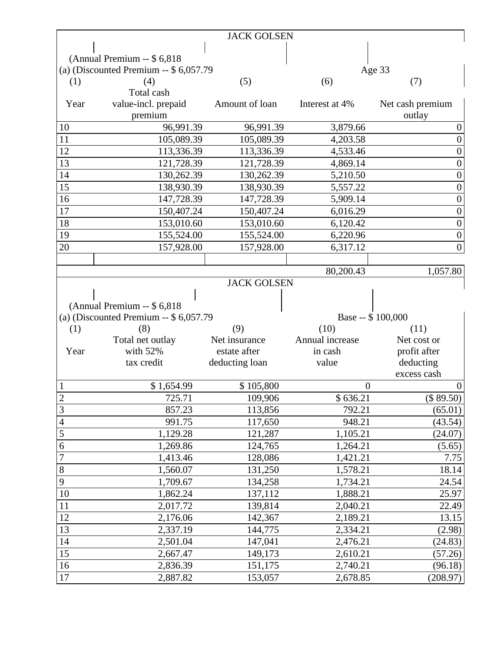|                |                                         | <b>JACK GOLSEN</b> |                      |                     |
|----------------|-----------------------------------------|--------------------|----------------------|---------------------|
|                |                                         |                    |                      |                     |
|                | (Annual Premium -- \$ 6,818)            |                    |                      |                     |
|                | (a) (Discounted Premium $-$ \$ 6,057.79 |                    |                      | Age 33              |
| (1)            | (4)                                     | (5)                | (6)                  | (7)                 |
|                | Total cash                              |                    |                      |                     |
| Year           | value-incl. prepaid                     | Amount of loan     | Interest at 4%       | Net cash premium    |
|                | premium                                 |                    |                      | outlay              |
| 10             | 96,991.39                               | 96,991.39          | 3,879.66             | $\overline{0}$      |
| 11             | 105,089.39                              | 105,089.39         | 4,203.58             | $\overline{0}$      |
| 12             | 113,336.39                              | 113,336.39         | 4,533.46             | $\boldsymbol{0}$    |
| 13             | 121,728.39                              | 121,728.39         | 4,869.14             | $\boldsymbol{0}$    |
| 14             | 130,262.39                              | 130,262.39         | 5,210.50             | $\boldsymbol{0}$    |
| 15             | 138,930.39                              | 138,930.39         | 5,557.22             | $\boldsymbol{0}$    |
| 16             | 147,728.39                              | 147,728.39         | 5,909.14             | $\overline{0}$      |
| 17             | 150,407.24                              | 150,407.24         | 6,016.29             | $\boldsymbol{0}$    |
| 18             | 153,010.60                              | 153,010.60         | 6,120.42             | $\boldsymbol{0}$    |
| 19             | 155,524.00                              | 155,524.00         | 6,220.96             | $\boldsymbol{0}$    |
| 20             | 157,928.00                              | 157,928.00         | 6,317.12             | $\overline{0}$      |
|                |                                         |                    |                      |                     |
|                |                                         |                    | 80,200.43            | 1,057.80            |
|                |                                         | <b>JACK GOLSEN</b> |                      |                     |
|                |                                         |                    |                      |                     |
|                | (Annual Premium -- \$ 6,818)            |                    |                      |                     |
|                |                                         |                    |                      |                     |
|                | (a) (Discounted Premium $-$ \$ 6,057.79 |                    |                      | Base -- \$100,000   |
| (1)            | (8)                                     | (9)                | (10)                 | (11)                |
|                | Total net outlay                        | Net insurance      | Annual increase      | Net cost or         |
| Year           | with $52%$                              | estate after       | in cash              | profit after        |
|                | tax credit                              | deducting loan     | value                | deducting           |
|                |                                         |                    |                      | excess cash         |
| 1              | \$1,654.99                              | \$105,800          | $\theta$             |                     |
| $\overline{c}$ | 725.71                                  | 109,906            | \$636.21             | (\$ 89.50)          |
| 3              | 857.23                                  | 113,856            | 792.21               | (65.01)             |
| $\overline{4}$ | 991.75                                  | 117,650            | 948.21               | (43.54)             |
| 5              | 1,129.28                                | 121,287            | 1,105.21             | (24.07)             |
| 6              | 1,269.86                                | 124,765            | 1,264.21             | (5.65)              |
| $\overline{7}$ | 1,413.46                                | 128,086            | 1,421.21             | 7.75                |
| $8\,$          | 1,560.07                                | 131,250            | 1,578.21             | 18.14               |
| 9              | 1,709.67                                | 134,258            | 1,734.21             | 24.54               |
| 10             | 1,862.24                                | 137,112            | 1,888.21             | 25.97               |
| 11             | 2,017.72                                | 139,814            | 2,040.21             | 22.49               |
| 12             | 2,176.06                                | 142,367            | 2,189.21             | 13.15               |
| 13             | 2,337.19                                | 144,775            | 2,334.21             | (2.98)              |
| 14             | 2,501.04                                | 147,041            | 2,476.21             | (24.83)             |
| 15             | 2,667.47                                | 149,173            | 2,610.21             | (57.26)             |
| 16<br>17       | 2,836.39<br>2,887.82                    | 151,175<br>153,057 | 2,740.21<br>2,678.85 | (96.18)<br>(208.97) |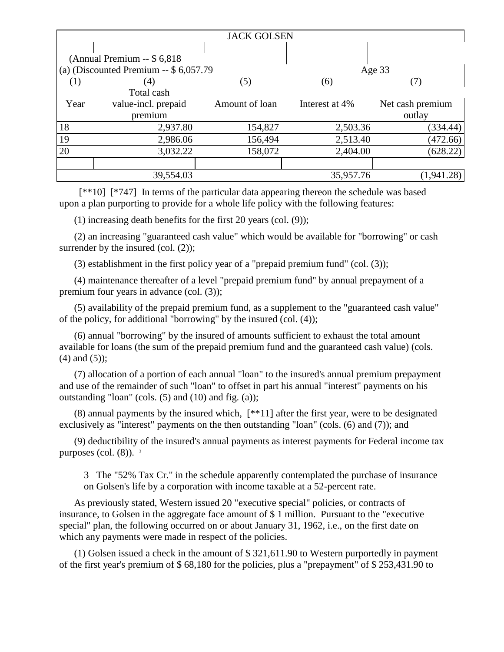|                   |                                         | <b>JACK GOLSEN</b> |                |                  |
|-------------------|-----------------------------------------|--------------------|----------------|------------------|
|                   |                                         |                    |                |                  |
|                   | (Annual Premium $-$ \$ 6,818)           |                    |                |                  |
|                   | (a) (Discounted Premium $-$ \$ 6,057.79 |                    |                | Age $33$         |
| $\left( 1\right)$ | (4)                                     | (5)                | (6)            |                  |
|                   | Total cash                              |                    |                |                  |
| Year              | value-incl. prepaid                     | Amount of loan     | Interest at 4% | Net cash premium |
|                   | premium                                 |                    |                | outlay           |
| 18                | 2,937.80                                | 154,827            | 2,503.36       | (334.44)         |
| 19                | 2,986.06                                | 156,494            | 2,513.40       | (472.66)         |
| 20                | 3,032.22                                | 158,072            | 2,404.00       | (628.22)         |
|                   |                                         |                    |                |                  |
|                   | 39,554.03                               |                    | 35,957.76      | 1,941            |

 [\*\*10] [\*747] In terms of the particular data appearing thereon the schedule was based upon a plan purporting to provide for a whole life policy with the following features:

(1) increasing death benefits for the first 20 years (col. (9));

(2) an increasing "guaranteed cash value" which would be available for "borrowing" or cash surrender by the insured (col.  $(2)$ );

(3) establishment in the first policy year of a "prepaid premium fund" (col. (3));

(4) maintenance thereafter of a level "prepaid premium fund" by annual prepayment of a premium four years in advance (col. (3));

(5) availability of the prepaid premium fund, as a supplement to the "guaranteed cash value" of the policy, for additional "borrowing" by the insured (col. (4));

(6) annual "borrowing" by the insured of amounts sufficient to exhaust the total amount available for loans (the sum of the prepaid premium fund and the guaranteed cash value) (cols. (4) and (5));

(7) allocation of a portion of each annual "loan" to the insured's annual premium prepayment and use of the remainder of such "loan" to offset in part his annual "interest" payments on his outstanding "loan" (cols.  $(5)$  and  $(10)$  and fig.  $(a)$ );

 $(8)$  annual payments by the insured which,  $[**11]$  after the first year, were to be designated exclusively as "interest" payments on the then outstanding "loan" (cols. (6) and (7)); and

(9) deductibility of the insured's annual payments as interest payments for Federal income tax purposes (col.  $(8)$ ). <sup>3</sup>

3 The "52% Tax Cr." in the schedule apparently contemplated the purchase of insurance on Golsen's life by a corporation with income taxable at a 52-percent rate.

As previously stated, Western issued 20 "executive special" policies, or contracts of insurance, to Golsen in the aggregate face amount of \$ 1 million. Pursuant to the "executive special" plan, the following occurred on or about January 31, 1962, i.e., on the first date on which any payments were made in respect of the policies.

(1) Golsen issued a check in the amount of \$ 321,611.90 to Western purportedly in payment of the first year's premium of \$ 68,180 for the policies, plus a "prepayment" of \$ 253,431.90 to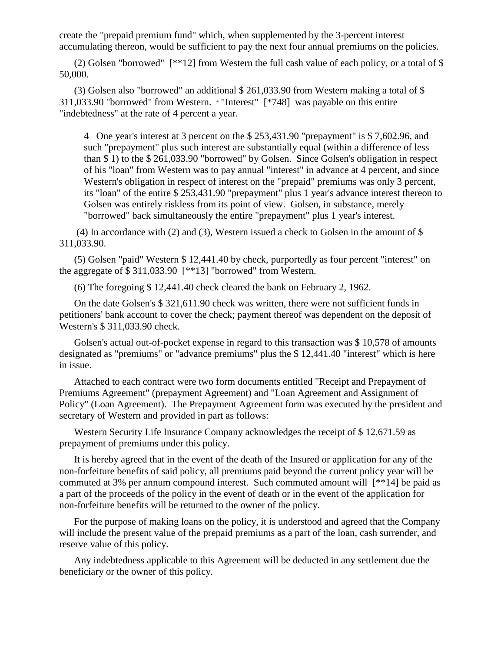create the "prepaid premium fund" which, when supplemented by the 3-percent interest accumulating thereon, would be sufficient to pay the next four annual premiums on the policies.

(2) Golsen "borrowed" [\*\*12] from Western the full cash value of each policy, or a total of \$ 50,000.

(3) Golsen also "borrowed" an additional \$ 261,033.90 from Western making a total of \$ 311,033.90 "borrowed" from Western. <sup>4</sup> "Interest" [\*748] was payable on this entire "indebtedness" at the rate of 4 percent a year.

4 One year's interest at 3 percent on the \$ 253,431.90 "prepayment" is \$ 7,602.96, and such "prepayment" plus such interest are substantially equal (within a difference of less than \$ 1) to the \$ 261,033.90 "borrowed" by Golsen. Since Golsen's obligation in respect of his "loan" from Western was to pay annual "interest" in advance at 4 percent, and since Western's obligation in respect of interest on the "prepaid" premiums was only 3 percent, its "loan" of the entire \$ 253,431.90 "prepayment" plus 1 year's advance interest thereon to Golsen was entirely riskless from its point of view. Golsen, in substance, merely "borrowed" back simultaneously the entire "prepayment" plus 1 year's interest.

(4) In accordance with (2) and (3), Western issued a check to Golsen in the amount of \$ 311,033.90.

(5) Golsen "paid" Western \$ 12,441.40 by check, purportedly as four percent "interest" on the aggregate of \$ 311,033.90 [\*\*13] "borrowed" from Western.

(6) The foregoing \$ 12,441.40 check cleared the bank on February 2, 1962.

On the date Golsen's \$ 321,611.90 check was written, there were not sufficient funds in petitioners' bank account to cover the check; payment thereof was dependent on the deposit of Western's \$ 311,033.90 check.

Golsen's actual out-of-pocket expense in regard to this transaction was \$ 10,578 of amounts designated as "premiums" or "advance premiums" plus the \$ 12,441.40 "interest" which is here in issue.

Attached to each contract were two form documents entitled "Receipt and Prepayment of Premiums Agreement" (prepayment Agreement) and "Loan Agreement and Assignment of Policy" (Loan Agreement). The Prepayment Agreement form was executed by the president and secretary of Western and provided in part as follows:

Western Security Life Insurance Company acknowledges the receipt of \$ 12,671.59 as prepayment of premiums under this policy.

It is hereby agreed that in the event of the death of the Insured or application for any of the non-forfeiture benefits of said policy, all premiums paid beyond the current policy year will be commuted at 3% per annum compound interest. Such commuted amount will [\*\*14] be paid as a part of the proceeds of the policy in the event of death or in the event of the application for non-forfeiture benefits will be returned to the owner of the policy.

For the purpose of making loans on the policy, it is understood and agreed that the Company will include the present value of the prepaid premiums as a part of the loan, cash surrender, and reserve value of this policy.

Any indebtedness applicable to this Agreement will be deducted in any settlement due the beneficiary or the owner of this policy.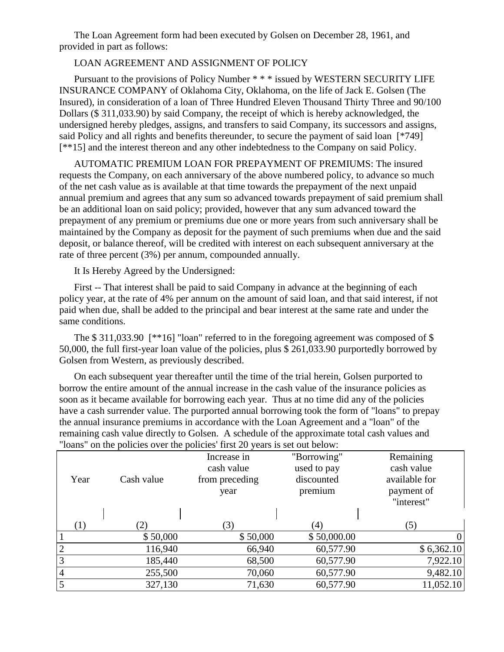The Loan Agreement form had been executed by Golsen on December 28, 1961, and provided in part as follows:

# LOAN AGREEMENT AND ASSIGNMENT OF POLICY

Pursuant to the provisions of Policy Number \* \* \* issued by WESTERN SECURITY LIFE INSURANCE COMPANY of Oklahoma City, Oklahoma, on the life of Jack E. Golsen (The Insured), in consideration of a loan of Three Hundred Eleven Thousand Thirty Three and 90/100 Dollars (\$ 311,033.90) by said Company, the receipt of which is hereby acknowledged, the undersigned hereby pledges, assigns, and transfers to said Company, its successors and assigns, said Policy and all rights and benefits thereunder, to secure the payment of said loan [\*749] [\*\*15] and the interest thereon and any other indebtedness to the Company on said Policy.

AUTOMATIC PREMIUM LOAN FOR PREPAYMENT OF PREMIUMS: The insured requests the Company, on each anniversary of the above numbered policy, to advance so much of the net cash value as is available at that time towards the prepayment of the next unpaid annual premium and agrees that any sum so advanced towards prepayment of said premium shall be an additional loan on said policy; provided, however that any sum advanced toward the prepayment of any premium or premiums due one or more years from such anniversary shall be maintained by the Company as deposit for the payment of such premiums when due and the said deposit, or balance thereof, will be credited with interest on each subsequent anniversary at the rate of three percent (3%) per annum, compounded annually.

It Is Hereby Agreed by the Undersigned:

First -- That interest shall be paid to said Company in advance at the beginning of each policy year, at the rate of 4% per annum on the amount of said loan, and that said interest, if not paid when due, shall be added to the principal and bear interest at the same rate and under the same conditions.

The \$311,033.90 [\*\*16] "loan" referred to in the foregoing agreement was composed of \$ 50,000, the full first-year loan value of the policies, plus \$ 261,033.90 purportedly borrowed by Golsen from Western, as previously described.

On each subsequent year thereafter until the time of the trial herein, Golsen purported to borrow the entire amount of the annual increase in the cash value of the insurance policies as soon as it became available for borrowing each year. Thus at no time did any of the policies have a cash surrender value. The purported annual borrowing took the form of "loans" to prepay the annual insurance premiums in accordance with the Loan Agreement and a "loan" of the remaining cash value directly to Golsen. A schedule of the approximate total cash values and "loans" on the policies over the policies' first 20 years is set out below:

|                |            | Increase in    | "Borrowing" | Remaining      |
|----------------|------------|----------------|-------------|----------------|
|                |            | cash value     | used to pay | cash value     |
| Year           | Cash value | from preceding | discounted  | available for  |
|                |            | year           | premium     | payment of     |
|                |            |                |             | "interest"     |
|                |            |                |             |                |
| (1)            | (2)        | (3)            | (4)         | (5)            |
|                | \$50,000   | \$50,000       | \$50,000.00 | $\overline{0}$ |
| $\overline{2}$ | 116,940    | 66,940         | 60,577.90   | \$6,362.10     |
| 3              | 185,440    | 68,500         | 60,577.90   | 7,922.10       |
| $\overline{4}$ | 255,500    | 70,060         | 60,577.90   | 9,482.10       |
| 5              | 327,130    | 71,630         | 60,577.90   | 11,052.10      |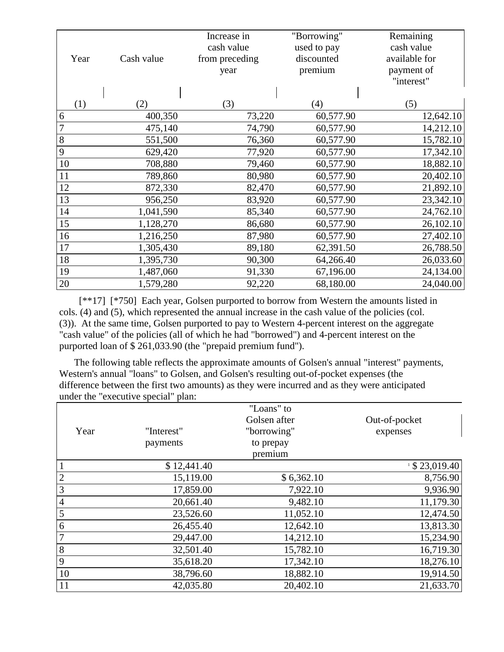|                |            | Increase in    | "Borrowing" | Remaining     |
|----------------|------------|----------------|-------------|---------------|
|                |            | cash value     | used to pay | cash value    |
| Year           | Cash value | from preceding | discounted  | available for |
|                |            | year           | premium     | payment of    |
|                |            |                |             | "interest"    |
|                |            |                |             |               |
| (1)            | (2)        | (3)            | (4)         | (5)           |
| 6              | 400,350    | 73,220         | 60,577.90   | 12,642.10     |
| $\overline{7}$ | 475,140    | 74,790         | 60,577.90   | 14,212.10     |
| $8\,$          | 551,500    | 76,360         | 60,577.90   | 15,782.10     |
| 9              | 629,420    | 77,920         | 60,577.90   | 17,342.10     |
| 10             | 708,880    | 79,460         | 60,577.90   | 18,882.10     |
| 11             | 789,860    | 80,980         | 60,577.90   | 20,402.10     |
| 12             | 872,330    | 82,470         | 60,577.90   | 21,892.10     |
| 13             | 956,250    | 83,920         | 60,577.90   | 23,342.10     |
| 14             | 1,041,590  | 85,340         | 60,577.90   | 24,762.10     |
| 15             | 1,128,270  | 86,680         | 60,577.90   | 26,102.10     |
| 16             | 1,216,250  | 87,980         | 60,577.90   | 27,402.10     |
| 17             | 1,305,430  | 89,180         | 62,391.50   | 26,788.50     |
| 18             | 1,395,730  | 90,300         | 64,266.40   | 26,033.60     |
| 19             | 1,487,060  | 91,330         | 67,196.00   | 24,134.00     |
| 20             | 1,579,280  | 92,220         | 68,180.00   | 24,040.00     |

 [\*\*17] [\*750] Each year, Golsen purported to borrow from Western the amounts listed in cols. (4) and (5), which represented the annual increase in the cash value of the policies (col. (3)). At the same time, Golsen purported to pay to Western 4-percent interest on the aggregate "cash value" of the policies (all of which he had "borrowed") and 4-percent interest on the purported loan of \$ 261,033.90 (the "prepaid premium fund").

The following table reflects the approximate amounts of Golsen's annual "interest" payments, Western's annual "loans" to Golsen, and Golsen's resulting out-of-pocket expenses (the difference between the first two amounts) as they were incurred and as they were anticipated under the "executive special" plan:

|                |             | "Loans" to   |                  |
|----------------|-------------|--------------|------------------|
|                |             | Golsen after | Out-of-pocket    |
| Year           | "Interest"  | "borrowing"  | expenses         |
|                | payments    | to prepay    |                  |
|                |             | premium      |                  |
| $\mathbf{1}$   | \$12,441.40 |              | $1$ \$ 23,019.40 |
| $\overline{c}$ | 15,119.00   | \$6,362.10   | 8,756.90         |
| $\overline{3}$ | 17,859.00   | 7,922.10     | 9,936.90         |
| $\overline{4}$ | 20,661.40   | 9,482.10     | 11,179.30        |
| $\mathfrak s$  | 23,526.60   | 11,052.10    | 12,474.50        |
| 6              | 26,455.40   | 12,642.10    | 13,813.30        |
| $\overline{7}$ | 29,447.00   | 14,212.10    | 15,234.90        |
| $8\,$          | 32,501.40   | 15,782.10    | 16,719.30        |
| 9              | 35,618.20   | 17,342.10    | 18,276.10        |
| 10             | 38,796.60   | 18,882.10    | 19,914.50        |
| 11             | 42,035.80   | 20,402.10    | 21,633.70        |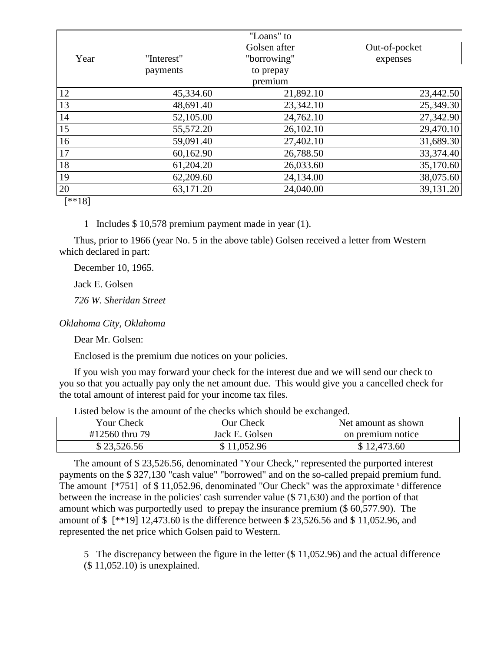|           |            | "Loans" to   |               |
|-----------|------------|--------------|---------------|
|           |            | Golsen after | Out-of-pocket |
| Year      | "Interest" | "borrowing"  | expenses      |
|           | payments   | to prepay    |               |
|           |            | premium      |               |
| 12        | 45,334.60  | 21,892.10    | 23,442.50     |
| 13        | 48,691.40  | 23,342.10    | 25,349.30     |
| 14        | 52,105.00  | 24,762.10    | 27,342.90     |
| 15        | 55,572.20  | 26,102.10    | 29,470.10     |
| 16        | 59,091.40  | 27,402.10    | 31,689.30     |
| 17        | 60,162.90  | 26,788.50    | 33,374.40     |
| 18        | 61,204.20  | 26,033.60    | 35,170.60     |
| 19        | 62,209.60  | 24,134.00    | 38,075.60     |
| 20        | 63,171.20  | 24,040.00    | 39,131.20     |
| $F + 101$ |            |              |               |

[\*\*18]

1 Includes \$ 10,578 premium payment made in year (1).

Thus, prior to 1966 (year No. 5 in the above table) Golsen received a letter from Western which declared in part:

December 10, 1965.

Jack E. Golsen

*726 W. Sheridan Street*

*Oklahoma City, Oklahoma*

Dear Mr. Golsen:

Enclosed is the premium due notices on your policies.

If you wish you may forward your check for the interest due and we will send our check to you so that you actually pay only the net amount due. This would give you a cancelled check for the total amount of interest paid for your income tax files.

| Your Check     | Our Check      | Net amount as shown |  |  |  |
|----------------|----------------|---------------------|--|--|--|
| #12560 thru 79 | Jack E. Golsen | on premium notice   |  |  |  |
| \$23,526.56    | \$11,052.96    | \$12,473.60         |  |  |  |

Listed below is the amount of the checks which should be exchanged.

The amount of \$ 23,526.56, denominated "Your Check," represented the purported interest payments on the \$ 327,130 "cash value" "borrowed" and on the so-called prepaid premium fund. The amount  $[^*751]$  of \$11,052.96, denominated "Our Check" was the approximate  $^5$  difference between the increase in the policies' cash surrender value (\$ 71,630) and the portion of that amount which was purportedly used to prepay the insurance premium (\$ 60,577.90). The amount of \$ [\*\*19] 12,473.60 is the difference between \$ 23,526.56 and \$ 11,052.96, and represented the net price which Golsen paid to Western.

5 The discrepancy between the figure in the letter (\$ 11,052.96) and the actual difference (\$ 11,052.10) is unexplained.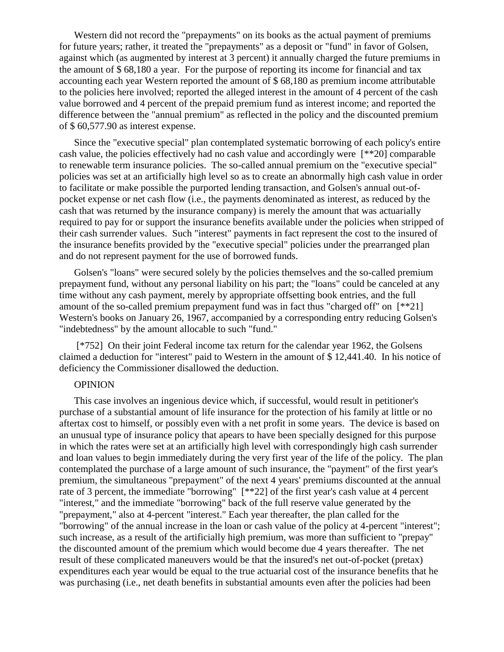Western did not record the "prepayments" on its books as the actual payment of premiums for future years; rather, it treated the "prepayments" as a deposit or "fund" in favor of Golsen, against which (as augmented by interest at 3 percent) it annually charged the future premiums in the amount of \$ 68,180 a year. For the purpose of reporting its income for financial and tax accounting each year Western reported the amount of \$ 68,180 as premium income attributable to the policies here involved; reported the alleged interest in the amount of 4 percent of the cash value borrowed and 4 percent of the prepaid premium fund as interest income; and reported the difference between the "annual premium" as reflected in the policy and the discounted premium of \$ 60,577.90 as interest expense.

Since the "executive special" plan contemplated systematic borrowing of each policy's entire cash value, the policies effectively had no cash value and accordingly were [\*\*20] comparable to renewable term insurance policies. The so-called annual premium on the "executive special" policies was set at an artificially high level so as to create an abnormally high cash value in order to facilitate or make possible the purported lending transaction, and Golsen's annual out-ofpocket expense or net cash flow (i.e., the payments denominated as interest, as reduced by the cash that was returned by the insurance company) is merely the amount that was actuarially required to pay for or support the insurance benefits available under the policies when stripped of their cash surrender values. Such "interest" payments in fact represent the cost to the insured of the insurance benefits provided by the "executive special" policies under the prearranged plan and do not represent payment for the use of borrowed funds.

Golsen's "loans" were secured solely by the policies themselves and the so-called premium prepayment fund, without any personal liability on his part; the "loans" could be canceled at any time without any cash payment, merely by appropriate offsetting book entries, and the full amount of the so-called premium prepayment fund was in fact thus "charged off" on [\*\*21] Western's books on January 26, 1967, accompanied by a corresponding entry reducing Golsen's "indebtedness" by the amount allocable to such "fund."

[\*752] On their joint Federal income tax return for the calendar year 1962, the Golsens claimed a deduction for "interest" paid to Western in the amount of \$ 12,441.40. In his notice of deficiency the Commissioner disallowed the deduction.

#### OPINION

This case involves an ingenious device which, if successful, would result in petitioner's purchase of a substantial amount of life insurance for the protection of his family at little or no aftertax cost to himself, or possibly even with a net profit in some years. The device is based on an unusual type of insurance policy that apears to have been specially designed for this purpose in which the rates were set at an artificially high level with correspondingly high cash surrender and loan values to begin immediately during the very first year of the life of the policy. The plan contemplated the purchase of a large amount of such insurance, the "payment" of the first year's premium, the simultaneous "prepayment" of the next 4 years' premiums discounted at the annual rate of 3 percent, the immediate "borrowing" [\*\*22] of the first year's cash value at 4 percent "interest," and the immediate "borrowing" back of the full reserve value generated by the "prepayment," also at 4-percent "interest." Each year thereafter, the plan called for the "borrowing" of the annual increase in the loan or cash value of the policy at 4-percent "interest"; such increase, as a result of the artificially high premium, was more than sufficient to "prepay" the discounted amount of the premium which would become due 4 years thereafter. The net result of these complicated maneuvers would be that the insured's net out-of-pocket (pretax) expenditures each year would be equal to the true actuarial cost of the insurance benefits that he was purchasing (i.e., net death benefits in substantial amounts even after the policies had been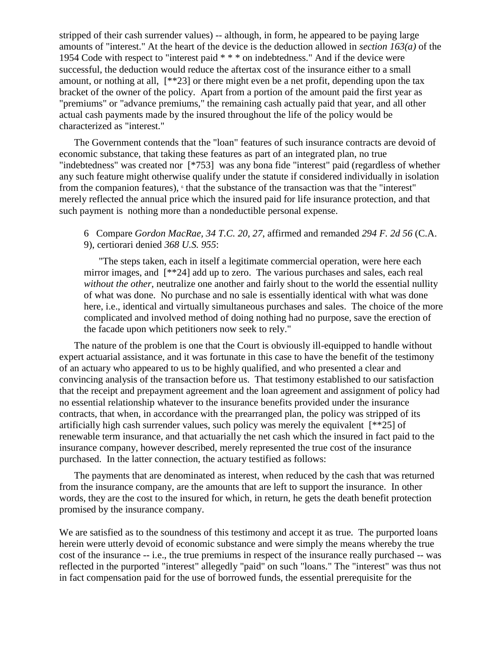stripped of their cash surrender values) -- although, in form, he appeared to be paying large amounts of "interest." At the heart of the device is the deduction allowed in *section 163(a)* of the 1954 Code with respect to "interest paid \* \* \* on indebtedness." And if the device were successful, the deduction would reduce the aftertax cost of the insurance either to a small amount, or nothing at all, [\*\*23] or there might even be a net profit, depending upon the tax bracket of the owner of the policy. Apart from a portion of the amount paid the first year as "premiums" or "advance premiums," the remaining cash actually paid that year, and all other actual cash payments made by the insured throughout the life of the policy would be characterized as "interest."

The Government contends that the "loan" features of such insurance contracts are devoid of economic substance, that taking these features as part of an integrated plan, no true "indebtedness" was created nor [\*753] was any bona fide "interest" paid (regardless of whether any such feature might otherwise qualify under the statute if considered individually in isolation from the companion features),  $\epsilon$  that the substance of the transaction was that the "interest" merely reflected the annual price which the insured paid for life insurance protection, and that such payment is nothing more than a nondeductible personal expense.

6 Compare *Gordon MacRae, 34 T.C. 20, 27*, affirmed and remanded *294 F. 2d 56* (C.A. 9), certiorari denied *368 U.S. 955*:

"The steps taken, each in itself a legitimate commercial operation, were here each mirror images, and [\*\*24] add up to zero. The various purchases and sales, each real *without the other*, neutralize one another and fairly shout to the world the essential nullity of what was done. No purchase and no sale is essentially identical with what was done here, i.e., identical and virtually simultaneous purchases and sales. The choice of the more complicated and involved method of doing nothing had no purpose, save the erection of the facade upon which petitioners now seek to rely."

The nature of the problem is one that the Court is obviously ill-equipped to handle without expert actuarial assistance, and it was fortunate in this case to have the benefit of the testimony of an actuary who appeared to us to be highly qualified, and who presented a clear and convincing analysis of the transaction before us. That testimony established to our satisfaction that the receipt and prepayment agreement and the loan agreement and assignment of policy had no essential relationship whatever to the insurance benefits provided under the insurance contracts, that when, in accordance with the prearranged plan, the policy was stripped of its artificially high cash surrender values, such policy was merely the equivalent  $[**25]$  of renewable term insurance, and that actuarially the net cash which the insured in fact paid to the insurance company, however described, merely represented the true cost of the insurance purchased. In the latter connection, the actuary testified as follows:

The payments that are denominated as interest, when reduced by the cash that was returned from the insurance company, are the amounts that are left to support the insurance. In other words, they are the cost to the insured for which, in return, he gets the death benefit protection promised by the insurance company.

We are satisfied as to the soundness of this testimony and accept it as true. The purported loans herein were utterly devoid of economic substance and were simply the means whereby the true cost of the insurance -- i.e., the true premiums in respect of the insurance really purchased -- was reflected in the purported "interest" allegedly "paid" on such "loans." The "interest" was thus not in fact compensation paid for the use of borrowed funds, the essential prerequisite for the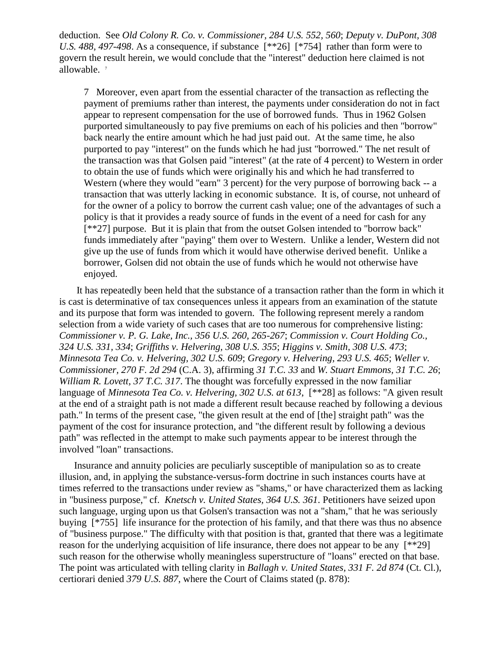deduction. See *Old Colony R. Co. v. Commissioner, 284 U.S. 552, 560*; *Deputy v. DuPont, 308 U.S. 488, 497-498*. As a consequence, if substance [\*\*26] [\*754] rather than form were to govern the result herein, we would conclude that the "interest" deduction here claimed is not allowable.<sup>7</sup>

7 Moreover, even apart from the essential character of the transaction as reflecting the payment of premiums rather than interest, the payments under consideration do not in fact appear to represent compensation for the use of borrowed funds. Thus in 1962 Golsen purported simultaneously to pay five premiums on each of his policies and then "borrow" back nearly the entire amount which he had just paid out. At the same time, he also purported to pay "interest" on the funds which he had just "borrowed." The net result of the transaction was that Golsen paid "interest" (at the rate of 4 percent) to Western in order to obtain the use of funds which were originally his and which he had transferred to Western (where they would "earn" 3 percent) for the very purpose of borrowing back -- a transaction that was utterly lacking in economic substance. It is, of course, not unheard of for the owner of a policy to borrow the current cash value; one of the advantages of such a policy is that it provides a ready source of funds in the event of a need for cash for any [\*\*27] purpose. But it is plain that from the outset Golsen intended to "borrow back" funds immediately after "paying" them over to Western. Unlike a lender, Western did not give up the use of funds from which it would have otherwise derived benefit. Unlike a borrower, Golsen did not obtain the use of funds which he would not otherwise have enjoyed.

It has repeatedly been held that the substance of a transaction rather than the form in which it is cast is determinative of tax consequences unless it appears from an examination of the statute and its purpose that form was intended to govern. The following represent merely a random selection from a wide variety of such cases that are too numerous for comprehensive listing: *Commissioner v. P. G. Lake, Inc., 356 U.S. 260, 265-267*; *Commission v. Court Holding Co., 324 U.S. 331, 334*; *Griffiths v. Helvering, 308 U.S. 355*; *Higgins v. Smith, 308 U.S. 473*; *Minnesota Tea Co. v. Helvering, 302 U.S. 609*; *Gregory v. Helvering, 293 U.S. 465*; *Weller v. Commissioner, 270 F. 2d 294* (C.A. 3), affirming *31 T.C. 33* and *W. Stuart Emmons, 31 T.C. 26*; *William R. Lovett, 37 T.C. 317*. The thought was forcefully expressed in the now familiar language of *Minnesota Tea Co. v. Helvering, 302 U.S. at 613*, [\*\*28] as follows: "A given result at the end of a straight path is not made a different result because reached by following a devious path." In terms of the present case, "the given result at the end of [the] straight path" was the payment of the cost for insurance protection, and "the different result by following a devious path" was reflected in the attempt to make such payments appear to be interest through the involved "loan" transactions.

Insurance and annuity policies are peculiarly susceptible of manipulation so as to create illusion, and, in applying the substance-versus-form doctrine in such instances courts have at times referred to the transactions under review as "shams," or have characterized them as lacking in "business purpose," cf. *Knetsch v. United States, 364 U.S. 361*. Petitioners have seized upon such language, urging upon us that Golsen's transaction was not a "sham," that he was seriously buying [\*755] life insurance for the protection of his family, and that there was thus no absence of "business purpose." The difficulty with that position is that, granted that there was a legitimate reason for the underlying acquisition of life insurance, there does not appear to be any [\*\*29] such reason for the otherwise wholly meaningless superstructure of "loans" erected on that base. The point was articulated with telling clarity in *Ballagh v. United States, 331 F. 2d 874* (Ct. Cl.), certiorari denied *379 U.S. 887*, where the Court of Claims stated (p. 878):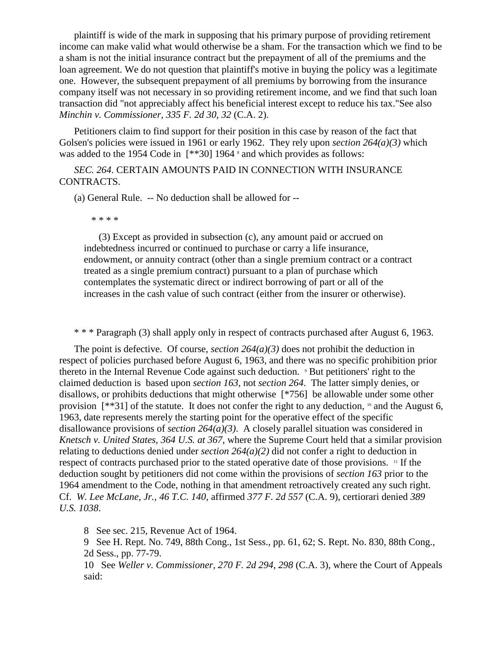plaintiff is wide of the mark in supposing that his primary purpose of providing retirement income can make valid what would otherwise be a sham. For the transaction which we find to be a sham is not the initial insurance contract but the prepayment of all of the premiums and the loan agreement. We do not question that plaintiff's motive in buying the policy was a legitimate one. However, the subsequent prepayment of all premiums by borrowing from the insurance company itself was not necessary in so providing retirement income, and we find that such loan transaction did "not appreciably affect his beneficial interest except to reduce his tax."See also *Minchin v. Commissioner, 335 F. 2d 30, 32* (C.A. 2).

Petitioners claim to find support for their position in this case by reason of the fact that Golsen's policies were issued in 1961 or early 1962. They rely upon *section 264(a)(3)* which was added to the 1954 Code in  $[**30]$  1964  $*$  and which provides as follows:

*SEC. 264*. CERTAIN AMOUNTS PAID IN CONNECTION WITH INSURANCE CONTRACTS.

(a) General Rule. -- No deduction shall be allowed for --

\* \* \* \*

(3) Except as provided in subsection (c), any amount paid or accrued on indebtedness incurred or continued to purchase or carry a life insurance, endowment, or annuity contract (other than a single premium contract or a contract treated as a single premium contract) pursuant to a plan of purchase which contemplates the systematic direct or indirect borrowing of part or all of the increases in the cash value of such contract (either from the insurer or otherwise).

\* \* \* Paragraph (3) shall apply only in respect of contracts purchased after August 6, 1963.

The point is defective. Of course, *section 264(a)(3)* does not prohibit the deduction in respect of policies purchased before August 6, 1963, and there was no specific prohibition prior thereto in the Internal Revenue Code against such deduction. <sup>9</sup> But petitioners' right to the claimed deduction is based upon *section 163*, not *section 264*. The latter simply denies, or disallows, or prohibits deductions that might otherwise [\*756] be allowable under some other provision  $[**31]$  of the statute. It does not confer the right to any deduction,  $[0, 0]$  and the August 6, 1963, date represents merely the starting point for the operative effect of the specific disallowance provisions of *section 264(a)(3)*. A closely parallel situation was considered in *Knetsch v. United States, 364 U.S. at 367*, where the Supreme Court held that a similar provision relating to deductions denied under *section*  $264(a)(2)$  did not confer a right to deduction in respect of contracts purchased prior to the stated operative date of those provisions. <sup>11</sup> If the deduction sought by petitioners did not come within the provisions of *section 163* prior to the 1964 amendment to the Code, nothing in that amendment retroactively created any such right. Cf. *W. Lee McLane, Jr., 46 T.C. 140*, affirmed *377 F. 2d 557* (C.A. 9), certiorari denied *389 U.S. 1038*.

8 See sec. 215, Revenue Act of 1964.

9 See H. Rept. No. 749, 88th Cong., 1st Sess., pp. 61, 62; S. Rept. No. 830, 88th Cong., 2d Sess., pp. 77-79.

10 See *Weller v. Commissioner, 270 F. 2d 294, 298* (C.A. 3), where the Court of Appeals said: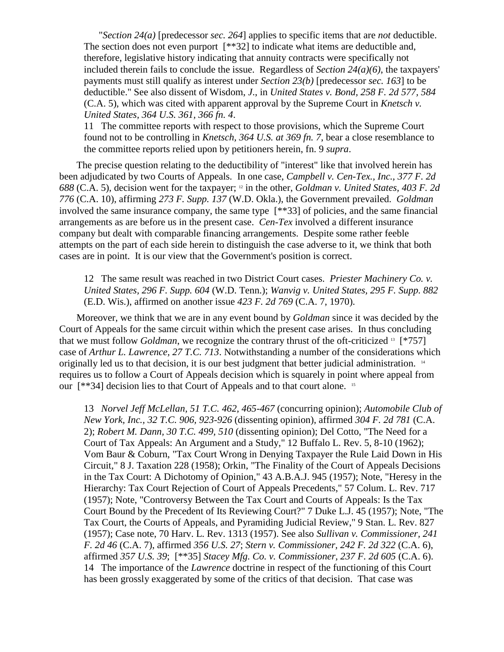"*Section 24(a)* [predecessor *sec. 264*] applies to specific items that are *not* deductible. The section does not even purport [\*\*32] to indicate what items are deductible and, therefore, legislative history indicating that annuity contracts were specifically not included therein fails to conclude the issue. Regardless of *Section 24(a)(6)*, the taxpayers' payments must still qualify as interest under *Section 23(b)* [predecessor *sec. 163*] to be deductible." See also dissent of Wisdom, *J*., in *United States v. Bond, 258 F. 2d 577, 584* (C.A. 5), which was cited with apparent approval by the Supreme Court in *Knetsch v. United States, 364 U.S. 361, 366 fn. 4*.

11 The committee reports with respect to those provisions, which the Supreme Court found not to be controlling in *Knetsch, 364 U.S. at 369 fn. 7*, bear a close resemblance to the committee reports relied upon by petitioners herein, fn. 9 *supra*.

The precise question relating to the deductibility of "interest" like that involved herein has been adjudicated by two Courts of Appeals. In one case, *Campbell v. Cen-Tex., Inc., 377 F. 2d 688* (C.A. 5), decision went for the taxpayer; <sup>12</sup> in the other, *Goldman v. United States, 403 F. 2d 776* (C.A. 10), affirming *273 F. Supp. 137* (W.D. Okla.), the Government prevailed. *Goldman* involved the same insurance company, the same type [\*\*33] of policies, and the same financial arrangements as are before us in the present case. *Cen-Tex* involved a different insurance company but dealt with comparable financing arrangements. Despite some rather feeble attempts on the part of each side herein to distinguish the case adverse to it, we think that both cases are in point. It is our view that the Government's position is correct.

12 The same result was reached in two District Court cases. *Priester Machinery Co. v. United States, 296 F. Supp. 604* (W.D. Tenn.); *Wanvig v. United States, 295 F. Supp. 882* (E.D. Wis.), affirmed on another issue *423 F. 2d 769* (C.A. 7, 1970).

Moreover, we think that we are in any event bound by *Goldman* since it was decided by the Court of Appeals for the same circuit within which the present case arises. In thus concluding that we must follow *Goldman*, we recognize the contrary thrust of the oft-criticized <sup>13</sup> [\*757] case of *Arthur L. Lawrence, 27 T.C. 713*. Notwithstanding a number of the considerations which originally led us to that decision, it is our best judgment that better judicial administration.  $14$ requires us to follow a Court of Appeals decision which is squarely in point where appeal from our [\*\*34] decision lies to that Court of Appeals and to that court alone. <sup>15</sup>

13 *Norvel Jeff McLellan, 51 T.C. 462, 465-467* (concurring opinion); *Automobile Club of New York, Inc., 32 T.C. 906, 923-926* (dissenting opinion), affirmed *304 F. 2d 781* (C.A. 2); *Robert M. Dann, 30 T.C. 499, 510* (dissenting opinion); Del Cotto, "The Need for a Court of Tax Appeals: An Argument and a Study," 12 Buffalo L. Rev. 5, 8-10 (1962); Vom Baur & Coburn, "Tax Court Wrong in Denying Taxpayer the Rule Laid Down in His Circuit," 8 J. Taxation 228 (1958); Orkin, "The Finality of the Court of Appeals Decisions in the Tax Court: A Dichotomy of Opinion," 43 A.B.A.J. 945 (1957); Note, "Heresy in the Hierarchy: Tax Court Rejection of Court of Appeals Precedents," 57 Colum. L. Rev. 717 (1957); Note, "Controversy Between the Tax Court and Courts of Appeals: Is the Tax Court Bound by the Precedent of Its Reviewing Court?" 7 Duke L.J. 45 (1957); Note, "The Tax Court, the Courts of Appeals, and Pyramiding Judicial Review," 9 Stan. L. Rev. 827 (1957); Case note, 70 Harv. L. Rev. 1313 (1957). See also *Sullivan v. Commissioner, 241 F. 2d 46* (C.A. 7), affirmed *356 U.S. 27*; *Stern v. Commissioner, 242 F. 2d 322* (C.A. 6), affirmed *357 U.S. 39*; [\*\*35] *Stacey Mfg. Co. v. Commissioner, 237 F. 2d 605* (C.A. 6). 14 The importance of the *Lawrence* doctrine in respect of the functioning of this Court has been grossly exaggerated by some of the critics of that decision. That case was